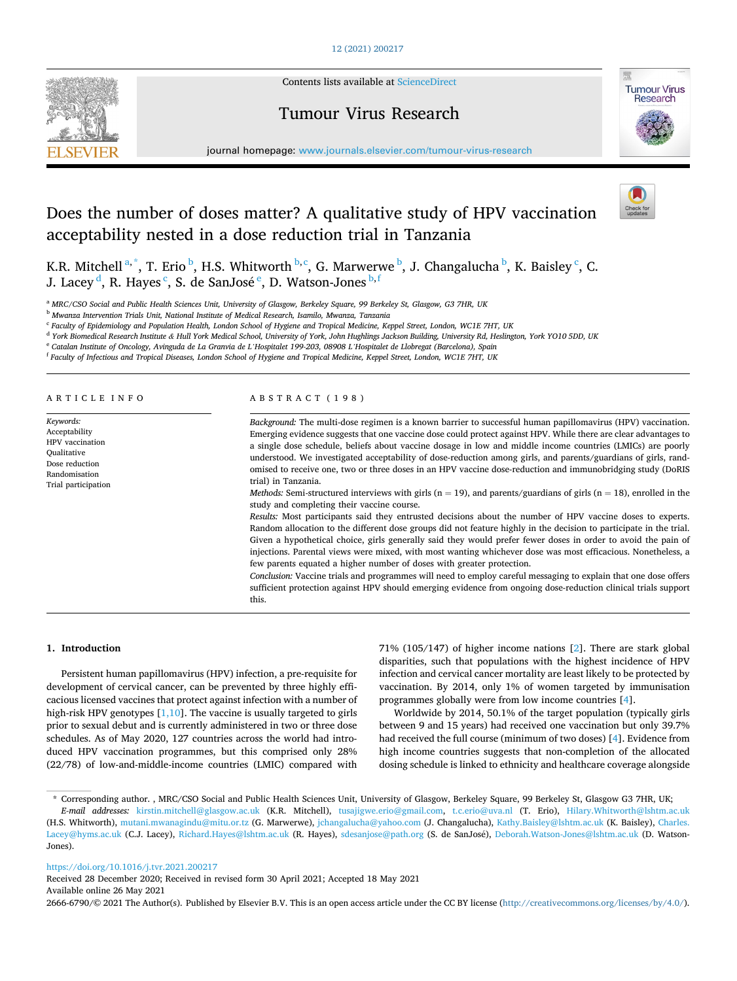## [12 \(2021\) 200217](https://doi.org/10.1016/j.tvr.2021.200217)



Contents lists available at [ScienceDirect](www.sciencedirect.com/science/journal/26666790)

## Tumour Virus Research



journal homepage: [www.journals.elsevier.com/tumour-virus-research](https://www.journals.elsevier.com/tumour-virus-research)

# Does the number of doses matter? A qualitative study of HPV vaccination acceptability nested in a dose reduction trial in Tanzania



K.R. Mitchell  $a^*$ , T. Erio  $\stackrel{b}{\cdot}$ , H.S. Whitworth  $\stackrel{b,c}{\cdot}$ , G. Marwerwe  $\stackrel{b}{\cdot}$ , J. Changalucha  $\stackrel{b}{\cdot}$ , K. Baisley  $\stackrel{c}{\cdot}$ , C. J. Lacey <sup>d</sup>, R. Hayes  $\lq$ , S. de SanJosé  $\lq$ , D. Watson-Jones  $\lq{b,f}$ 

<sup>a</sup> *MRC/CSO Social and Public Health Sciences Unit, University of Glasgow, Berkeley Square, 99 Berkeley St, Glasgow, G3 7HR, UK* 

<sup>b</sup> *Mwanza Intervention Trials Unit, National Institute of Medical Research, Isamilo, Mwanza, Tanzania* 

<sup>c</sup> *Faculty of Epidemiology and Population Health, London School of Hygiene and Tropical Medicine, Keppel Street, London, WC1E 7HT, UK* 

<sup>d</sup> *York Biomedical Research Institute & Hull York Medical School, University of York, John Hughlings Jackson Building, University Rd, Heslington, York YO10 5DD, UK* 

<sup>e</sup> *Catalan Institute of Oncology, Avinguda de La Granvia de L'Hospitalet 199-203, 08908 L'Hospitalet de Llobregat (Barcelona), Spain* 

<sup>f</sup> *Faculty of Infectious and Tropical Diseases, London School of Hygiene and Tropical Medicine, Keppel Street, London, WC1E 7HT, UK* 

#### ARTICLE INFO

*Keywords:*  Acceptability HPV vaccination **Oualitative** Dose reduction Randomisation Trial participation

## ABSTRACT (198)

*Background:* The multi-dose regimen is a known barrier to successful human papillomavirus (HPV) vaccination. Emerging evidence suggests that one vaccine dose could protect against HPV. While there are clear advantages to a single dose schedule, beliefs about vaccine dosage in low and middle income countries (LMICs) are poorly understood. We investigated acceptability of dose-reduction among girls, and parents/guardians of girls, randomised to receive one, two or three doses in an HPV vaccine dose-reduction and immunobridging study (DoRIS trial) in Tanzania.

*Methods:* Semi-structured interviews with girls  $(n = 19)$ , and parents/guardians of girls  $(n = 18)$ , enrolled in the study and completing their vaccine course.

*Results:* Most participants said they entrusted decisions about the number of HPV vaccine doses to experts. Random allocation to the different dose groups did not feature highly in the decision to participate in the trial. Given a hypothetical choice, girls generally said they would prefer fewer doses in order to avoid the pain of injections. Parental views were mixed, with most wanting whichever dose was most efficacious. Nonetheless, a few parents equated a higher number of doses with greater protection.

*Conclusion: Vaccine trials and programmes will need to employ careful messaging to explain that one dose offers* sufficient protection against HPV should emerging evidence from ongoing dose-reduction clinical trials support this.

## **1. Introduction**

Persistent human papillomavirus (HPV) infection, a pre-requisite for development of cervical cancer, can be prevented by three highly efficacious licensed vaccines that protect against infection with a number of high-risk HPV genotypes  $[1,10]$ . The vaccine is usually targeted to girls prior to sexual debut and is currently administered in two or three dose schedules. As of May 2020, 127 countries across the world had introduced HPV vaccination programmes, but this comprised only 28% (22/78) of low-and-middle-income countries (LMIC) compared with

71% (105/147) of higher income nations [[2](#page-6-0)]. There are stark global disparities, such that populations with the highest incidence of HPV infection and cervical cancer mortality are least likely to be protected by vaccination. By 2014, only 1% of women targeted by immunisation programmes globally were from low income countries [[4](#page-6-0)].

Worldwide by 2014, 50.1% of the target population (typically girls between 9 and 15 years) had received one vaccination but only 39.7% had received the full course (minimum of two doses) [\[4\]](#page-6-0). Evidence from high income countries suggests that non-completion of the allocated dosing schedule is linked to ethnicity and healthcare coverage alongside

## <https://doi.org/10.1016/j.tvr.2021.200217>

Available online 26 May 2021 Received 28 December 2020; Received in revised form 30 April 2021; Accepted 18 May 2021

2666-6790/© 2021 The Author(s). Published by Elsevier B.V. This is an open access article under the CC BY license [\(http://creativecommons.org/licenses/by/4.0/\)](http://creativecommons.org/licenses/by/4.0/).

<sup>\*</sup> Corresponding author. , MRC/CSO Social and Public Health Sciences Unit, University of Glasgow, Berkeley Square, 99 Berkeley St, Glasgow G3 7HR, UK;

*E-mail addresses:* [kirstin.mitchell@glasgow.ac.uk](mailto:kirstin.mitchell@glasgow.ac.uk) (K.R. Mitchell), [tusajigwe.erio@gmail.com](mailto:tusajigwe.erio@gmail.com), [t.c.erio@uva.nl](mailto:t.c.erio@uva.nl) (T. Erio), [Hilary.Whitworth@lshtm.ac.uk](mailto:Hilary.Whitworth@lshtm.ac.uk)  (H.S. Whitworth), [mutani.mwanagindu@mitu.or.tz](mailto:mutani.mwanagindu@mitu.or.tz) (G. Marwerwe), [jchangalucha@yahoo.com](mailto:jchangalucha@yahoo.com) (J. Changalucha), [Kathy.Baisley@lshtm.ac.uk](mailto:Kathy.Baisley@lshtm.ac.uk) (K. Baisley), [Charles.](mailto:Charles.Lacey@hyms.ac.uk)  [Lacey@hyms.ac.uk](mailto:Charles.Lacey@hyms.ac.uk) (C.J. Lacey), [Richard.Hayes@lshtm.ac.uk](mailto:Richard.Hayes@lshtm.ac.uk) (R. Hayes), [sdesanjose@path.org](mailto:sdesanjose@path.org) (S. de SanJosé), [Deborah.Watson-Jones@lshtm.ac.uk](mailto:Deborah.Watson-Jones@lshtm.ac.uk) (D. Watson-Jones).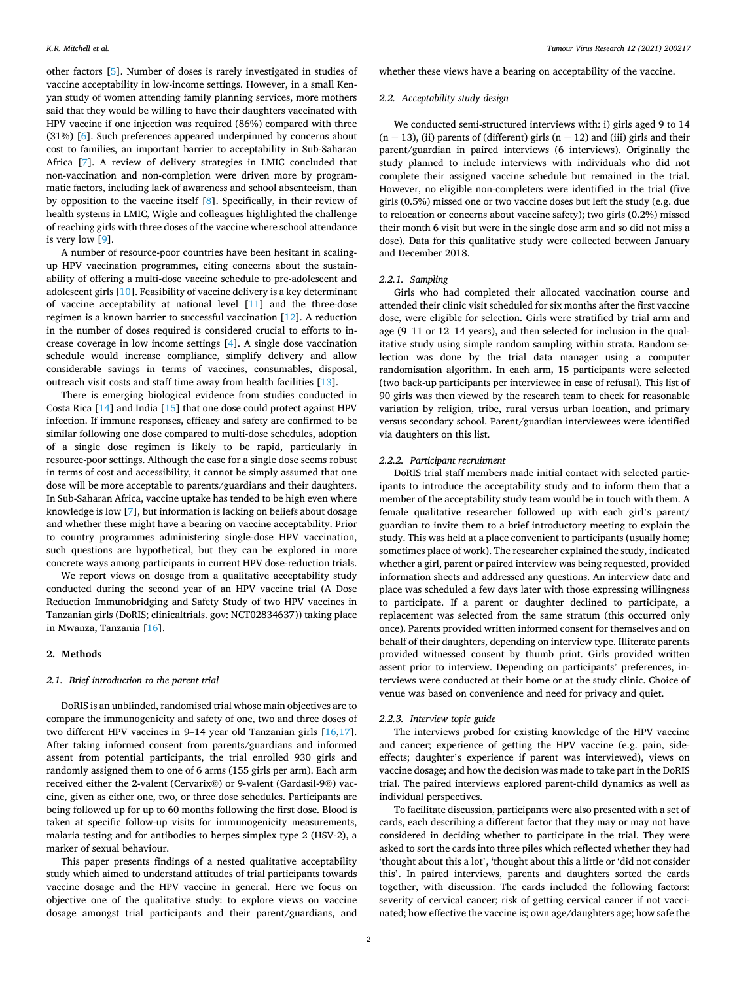other factors [\[5\]](#page-6-0). Number of doses is rarely investigated in studies of vaccine acceptability in low-income settings. However, in a small Kenyan study of women attending family planning services, more mothers said that they would be willing to have their daughters vaccinated with HPV vaccine if one injection was required (86%) compared with three (31%) [\[6\]](#page-6-0). Such preferences appeared underpinned by concerns about cost to families, an important barrier to acceptability in Sub-Saharan Africa [[7\]](#page-6-0). A review of delivery strategies in LMIC concluded that non-vaccination and non-completion were driven more by programmatic factors, including lack of awareness and school absenteeism, than by opposition to the vaccine itself [[8](#page-6-0)]. Specifically, in their review of health systems in LMIC, Wigle and colleagues highlighted the challenge of reaching girls with three doses of the vaccine where school attendance is very low [\[9\]](#page-6-0).

A number of resource-poor countries have been hesitant in scalingup HPV vaccination programmes, citing concerns about the sustainability of offering a multi-dose vaccine schedule to pre-adolescent and adolescent girls [[10\]](#page-6-0). Feasibility of vaccine delivery is a key determinant of vaccine acceptability at national level [[11\]](#page-6-0) and the three-dose regimen is a known barrier to successful vaccination [[12\]](#page-6-0). A reduction in the number of doses required is considered crucial to efforts to increase coverage in low income settings [\[4\]](#page-6-0). A single dose vaccination schedule would increase compliance, simplify delivery and allow considerable savings in terms of vaccines, consumables, disposal, outreach visit costs and staff time away from health facilities [\[13](#page-6-0)].

There is emerging biological evidence from studies conducted in Costa Rica [[14\]](#page-6-0) and India [\[15](#page-6-0)] that one dose could protect against HPV infection. If immune responses, efficacy and safety are confirmed to be similar following one dose compared to multi-dose schedules, adoption of a single dose regimen is likely to be rapid, particularly in resource-poor settings. Although the case for a single dose seems robust in terms of cost and accessibility, it cannot be simply assumed that one dose will be more acceptable to parents/guardians and their daughters. In Sub-Saharan Africa, vaccine uptake has tended to be high even where knowledge is low [\[7\]](#page-6-0), but information is lacking on beliefs about dosage and whether these might have a bearing on vaccine acceptability. Prior to country programmes administering single-dose HPV vaccination, such questions are hypothetical, but they can be explored in more concrete ways among participants in current HPV dose-reduction trials.

We report views on dosage from a qualitative acceptability study conducted during the second year of an HPV vaccine trial (A Dose Reduction Immunobridging and Safety Study of two HPV vaccines in Tanzanian girls (DoRIS; clinicaltrials. gov: NCT02834637)) taking place in Mwanza, Tanzania [[16\]](#page-6-0).

## **2. Methods**

## *2.1. Brief introduction to the parent trial*

DoRIS is an unblinded, randomised trial whose main objectives are to compare the immunogenicity and safety of one, two and three doses of two different HPV vaccines in 9–14 year old Tanzanian girls [[16,17](#page-6-0)]. After taking informed consent from parents/guardians and informed assent from potential participants, the trial enrolled 930 girls and randomly assigned them to one of 6 arms (155 girls per arm). Each arm received either the 2-valent (Cervarix®) or 9-valent (Gardasil-9®) vaccine, given as either one, two, or three dose schedules. Participants are being followed up for up to 60 months following the first dose. Blood is taken at specific follow-up visits for immunogenicity measurements, malaria testing and for antibodies to herpes simplex type 2 (HSV-2), a marker of sexual behaviour.

This paper presents findings of a nested qualitative acceptability study which aimed to understand attitudes of trial participants towards vaccine dosage and the HPV vaccine in general. Here we focus on objective one of the qualitative study: to explore views on vaccine dosage amongst trial participants and their parent/guardians, and whether these views have a bearing on acceptability of the vaccine.

## *2.2. Acceptability study design*

We conducted semi-structured interviews with: i) girls aged 9 to 14  $(n = 13)$ , (ii) parents of (different) girls  $(n = 12)$  and (iii) girls and their parent/guardian in paired interviews (6 interviews). Originally the study planned to include interviews with individuals who did not complete their assigned vaccine schedule but remained in the trial. However, no eligible non-completers were identified in the trial (five girls (0.5%) missed one or two vaccine doses but left the study (e.g. due to relocation or concerns about vaccine safety); two girls (0.2%) missed their month 6 visit but were in the single dose arm and so did not miss a dose). Data for this qualitative study were collected between January and December 2018.

## *2.2.1. Sampling*

Girls who had completed their allocated vaccination course and attended their clinic visit scheduled for six months after the first vaccine dose, were eligible for selection. Girls were stratified by trial arm and age (9–11 or 12–14 years), and then selected for inclusion in the qualitative study using simple random sampling within strata. Random selection was done by the trial data manager using a computer randomisation algorithm. In each arm, 15 participants were selected (two back-up participants per interviewee in case of refusal). This list of 90 girls was then viewed by the research team to check for reasonable variation by religion, tribe, rural versus urban location, and primary versus secondary school. Parent/guardian interviewees were identified via daughters on this list.

#### *2.2.2. Participant recruitment*

DoRIS trial staff members made initial contact with selected participants to introduce the acceptability study and to inform them that a member of the acceptability study team would be in touch with them. A female qualitative researcher followed up with each girl's parent/ guardian to invite them to a brief introductory meeting to explain the study. This was held at a place convenient to participants (usually home; sometimes place of work). The researcher explained the study, indicated whether a girl, parent or paired interview was being requested, provided information sheets and addressed any questions. An interview date and place was scheduled a few days later with those expressing willingness to participate. If a parent or daughter declined to participate, a replacement was selected from the same stratum (this occurred only once). Parents provided written informed consent for themselves and on behalf of their daughters, depending on interview type. Illiterate parents provided witnessed consent by thumb print. Girls provided written assent prior to interview. Depending on participants' preferences, interviews were conducted at their home or at the study clinic. Choice of venue was based on convenience and need for privacy and quiet.

#### *2.2.3. Interview topic guide*

The interviews probed for existing knowledge of the HPV vaccine and cancer; experience of getting the HPV vaccine (e.g. pain, sideeffects; daughter's experience if parent was interviewed), views on vaccine dosage; and how the decision was made to take part in the DoRIS trial. The paired interviews explored parent-child dynamics as well as individual perspectives.

To facilitate discussion, participants were also presented with a set of cards, each describing a different factor that they may or may not have considered in deciding whether to participate in the trial. They were asked to sort the cards into three piles which reflected whether they had 'thought about this a lot', 'thought about this a little or 'did not consider this'. In paired interviews, parents and daughters sorted the cards together, with discussion. The cards included the following factors: severity of cervical cancer; risk of getting cervical cancer if not vaccinated; how effective the vaccine is; own age/daughters age; how safe the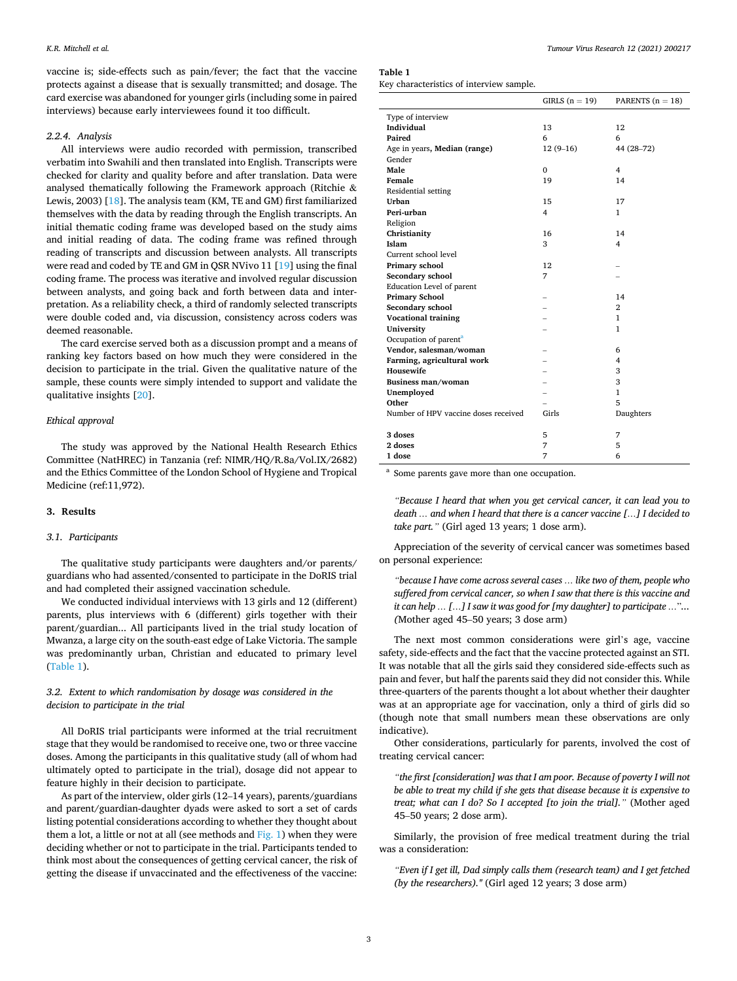vaccine is; side-effects such as pain/fever; the fact that the vaccine protects against a disease that is sexually transmitted; and dosage. The card exercise was abandoned for younger girls (including some in paired interviews) because early interviewees found it too difficult.

## *2.2.4. Analysis*

All interviews were audio recorded with permission, transcribed verbatim into Swahili and then translated into English. Transcripts were checked for clarity and quality before and after translation. Data were analysed thematically following the Framework approach (Ritchie & Lewis, 2003) [[18\]](#page-6-0). The analysis team (KM, TE and GM) first familiarized themselves with the data by reading through the English transcripts. An initial thematic coding frame was developed based on the study aims and initial reading of data. The coding frame was refined through reading of transcripts and discussion between analysts. All transcripts were read and coded by TE and GM in QSR NVivo 11 [\[19](#page-6-0)] using the final coding frame. The process was iterative and involved regular discussion between analysts, and going back and forth between data and interpretation. As a reliability check, a third of randomly selected transcripts were double coded and, via discussion, consistency across coders was deemed reasonable.

The card exercise served both as a discussion prompt and a means of ranking key factors based on how much they were considered in the decision to participate in the trial. Given the qualitative nature of the sample, these counts were simply intended to support and validate the qualitative insights [[20\]](#page-6-0).

#### *Ethical approval*

The study was approved by the National Health Research Ethics Committee (NatHREC) in Tanzania (ref: NIMR/HQ/R.8a/Vol.IX/2682) and the Ethics Committee of the London School of Hygiene and Tropical Medicine (ref:11,972).

#### **3. Results**

## *3.1. Participants*

The qualitative study participants were daughters and/or parents/ guardians who had assented/consented to participate in the DoRIS trial and had completed their assigned vaccination schedule.

We conducted individual interviews with 13 girls and 12 (different) parents, plus interviews with 6 (different) girls together with their parent/guardian... All participants lived in the trial study location of Mwanza, a large city on the south-east edge of Lake Victoria. The sample was predominantly urban, Christian and educated to primary level (Table 1).

## *3.2. Extent to which randomisation by dosage was considered in the decision to participate in the trial*

All DoRIS trial participants were informed at the trial recruitment stage that they would be randomised to receive one, two or three vaccine doses. Among the participants in this qualitative study (all of whom had ultimately opted to participate in the trial), dosage did not appear to feature highly in their decision to participate.

As part of the interview, older girls (12–14 years), parents/guardians and parent/guardian-daughter dyads were asked to sort a set of cards listing potential considerations according to whether they thought about them a lot, a little or not at all (see methods and  $Fig. 1$ ) when they were deciding whether or not to participate in the trial. Participants tended to think most about the consequences of getting cervical cancer, the risk of getting the disease if unvaccinated and the effectiveness of the vaccine:

**Table 1** 

Key characteristics of interview sample.

|                                      | GIRLS $(n = 19)$ | PARENTS $(n = 18)$ |
|--------------------------------------|------------------|--------------------|
| Type of interview                    |                  |                    |
| Individual                           | 13               | 12                 |
| Paired                               | 6                | 6                  |
| Age in years, Median (range)         | $12(9-16)$       | 44 (28-72)         |
| Gender                               |                  |                    |
| Male                                 | $\mathbf{0}$     | 4                  |
| Female                               | 19               | 14                 |
| Residential setting                  |                  |                    |
| Urban                                | 15               | 17                 |
| Peri-urban                           | $\overline{4}$   | 1                  |
| Religion                             |                  |                    |
| Christianity                         | 16               | 14                 |
| Islam                                | 3                | $\overline{4}$     |
| Current school level                 |                  |                    |
| Primary school                       | 12               |                    |
| Secondary school                     | 7                |                    |
| Education Level of parent            |                  |                    |
| <b>Primary School</b>                |                  | 14                 |
| Secondary school                     |                  | $\overline{2}$     |
| <b>Vocational training</b>           |                  | $\mathbf{1}$       |
| University                           |                  | 1                  |
| Occupation of parent <sup>a</sup>    |                  |                    |
| Vendor, salesman/woman               |                  | 6                  |
| Farming, agricultural work           |                  | 4                  |
| <b>Housewife</b>                     |                  | 3                  |
| Business man/woman                   |                  | 3                  |
| Unemployed                           |                  | $\mathbf{1}$       |
| Other                                |                  | 5                  |
| Number of HPV vaccine doses received | Girls            | Daughters          |
| 3 doses                              | 5                | 7                  |
| 2 doses                              | 7                | 5                  |
| 1 dose                               | 7                | 6                  |

<sup>a</sup> Some parents gave more than one occupation.

*"Because I heard that when you get cervical cancer, it can lead you to death … and when I heard that there is a cancer vaccine […] I decided to take part."* (Girl aged 13 years; 1 dose arm).

Appreciation of the severity of cervical cancer was sometimes based on personal experience:

*"because I have come across several cases … like two of them, people who suffered from cervical cancer, so when I saw that there is this vaccine and it can help … […] I saw it was good for [my daughter] to participate …*"*... (*Mother aged 45–50 years; 3 dose arm)

The next most common considerations were girl's age, vaccine safety, side-effects and the fact that the vaccine protected against an STI. It was notable that all the girls said they considered side-effects such as pain and fever, but half the parents said they did not consider this. While three-quarters of the parents thought a lot about whether their daughter was at an appropriate age for vaccination, only a third of girls did so (though note that small numbers mean these observations are only indicative).

Other considerations, particularly for parents, involved the cost of treating cervical cancer:

*"the first [consideration] was that I am poor. Because of poverty I will not be able to treat my child if she gets that disease because it is expensive to treat; what can I do? So I accepted [to join the trial]."* (Mother aged 45–50 years; 2 dose arm).

Similarly, the provision of free medical treatment during the trial was a consideration:

*"Even if I get ill, Dad simply calls them (research team) and I get fetched (by the researchers)."* (Girl aged 12 years; 3 dose arm)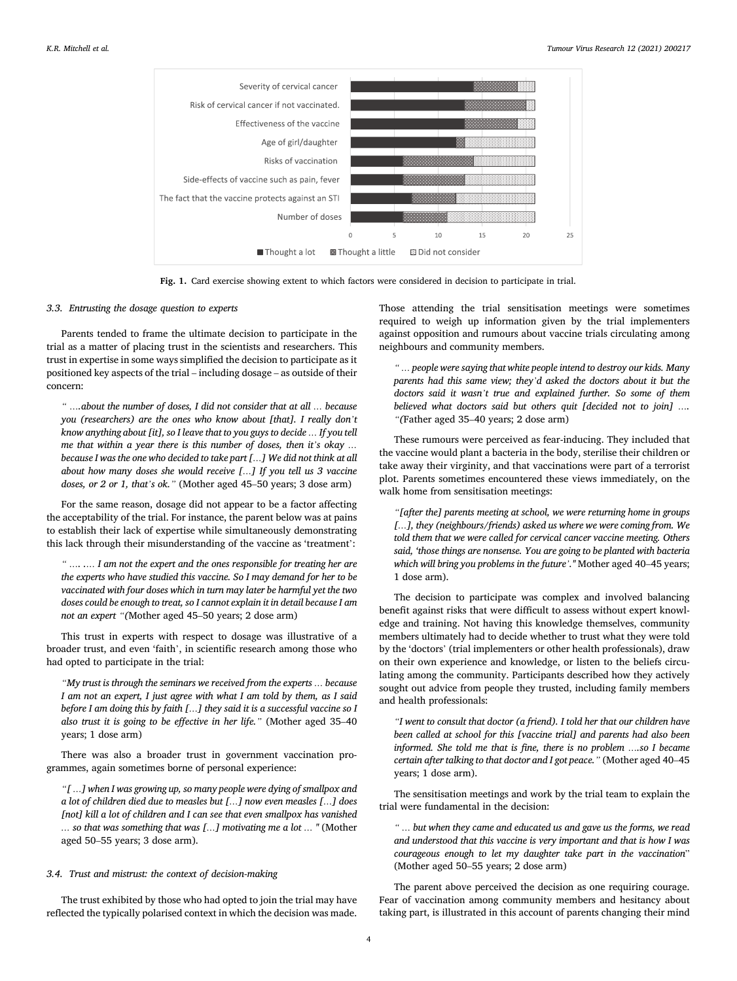<span id="page-3-0"></span>

**Fig. 1.** Card exercise showing extent to which factors were considered in decision to participate in trial.

## *3.3. Entrusting the dosage question to experts*

Parents tended to frame the ultimate decision to participate in the trial as a matter of placing trust in the scientists and researchers. This trust in expertise in some ways simplified the decision to participate as it positioned key aspects of the trial – including dosage – as outside of their concern:

*" ….about the number of doses, I did not consider that at all … because you (researchers) are the ones who know about [that]. I really don't know anything about [it], so I leave that to you guys to decide … If you tell me that within a year there is this number of doses, then it's okay … because I was the one who decided to take part […] We did not think at all about how many doses she would receive […] If you tell us 3 vaccine doses, or 2 or 1, that's ok."* (Mother aged 45–50 years; 3 dose arm)

For the same reason, dosage did not appear to be a factor affecting the acceptability of the trial. For instance, the parent below was at pains to establish their lack of expertise while simultaneously demonstrating this lack through their misunderstanding of the vaccine as 'treatment':

*" …. .… I am not the expert and the ones responsible for treating her are the experts who have studied this vaccine. So I may demand for her to be vaccinated with four doses which in turn may later be harmful yet the two doses could be enough to treat, so I cannot explain it in detail because I am not an expert "(*Mother aged 45–50 years; 2 dose arm)

This trust in experts with respect to dosage was illustrative of a broader trust, and even 'faith', in scientific research among those who had opted to participate in the trial:

*"My trust is through the seminars we received from the experts … because I am not an expert, I just agree with what I am told by them, as I said before I am doing this by faith […] they said it is a successful vaccine so I also trust it is going to be effective in her life."* (Mother aged 35–40 years; 1 dose arm)

There was also a broader trust in government vaccination programmes, again sometimes borne of personal experience:

*"[ …] when I was growing up, so many people were dying of smallpox and a lot of children died due to measles but […] now even measles […] does*  [not] kill a lot of children and I can see that even smallpox has vanished *… so that was something that was […] motivating me a lot … "* (Mother aged 50–55 years; 3 dose arm).

## *3.4. Trust and mistrust: the context of decision-making*

The trust exhibited by those who had opted to join the trial may have reflected the typically polarised context in which the decision was made.

Those attending the trial sensitisation meetings were sometimes required to weigh up information given by the trial implementers against opposition and rumours about vaccine trials circulating among neighbours and community members.

*" … people were saying that white people intend to destroy our kids. Many parents had this same view; they'd asked the doctors about it but the doctors said it wasn't true and explained further. So some of them believed what doctors said but others quit [decided not to join] …. "(*Father aged 35–40 years; 2 dose arm)

These rumours were perceived as fear-inducing. They included that the vaccine would plant a bacteria in the body, sterilise their children or take away their virginity, and that vaccinations were part of a terrorist plot. Parents sometimes encountered these views immediately, on the walk home from sensitisation meetings:

*"[after the] parents meeting at school, we were returning home in groups […], they (neighbours/friends) asked us where we were coming from. We told them that we were called for cervical cancer vaccine meeting. Others said, 'those things are nonsense. You are going to be planted with bacteria which will bring you problems in the future'."* Mother aged 40–45 years; 1 dose arm).

The decision to participate was complex and involved balancing benefit against risks that were difficult to assess without expert knowledge and training. Not having this knowledge themselves, community members ultimately had to decide whether to trust what they were told by the 'doctors' (trial implementers or other health professionals), draw on their own experience and knowledge, or listen to the beliefs circulating among the community. Participants described how they actively sought out advice from people they trusted, including family members and health professionals:

*"I went to consult that doctor (a friend). I told her that our children have been called at school for this [vaccine trial] and parents had also been informed. She told me that is fine, there is no problem ….so I became certain after talking to that doctor and I got peace."* (Mother aged 40–45 years; 1 dose arm).

The sensitisation meetings and work by the trial team to explain the trial were fundamental in the decision:

*" … but when they came and educated us and gave us the forms, we read and understood that this vaccine is very important and that is how I was courageous enough to let my daughter take part in the vaccination*" (Mother aged 50–55 years; 2 dose arm)

The parent above perceived the decision as one requiring courage. Fear of vaccination among community members and hesitancy about taking part, is illustrated in this account of parents changing their mind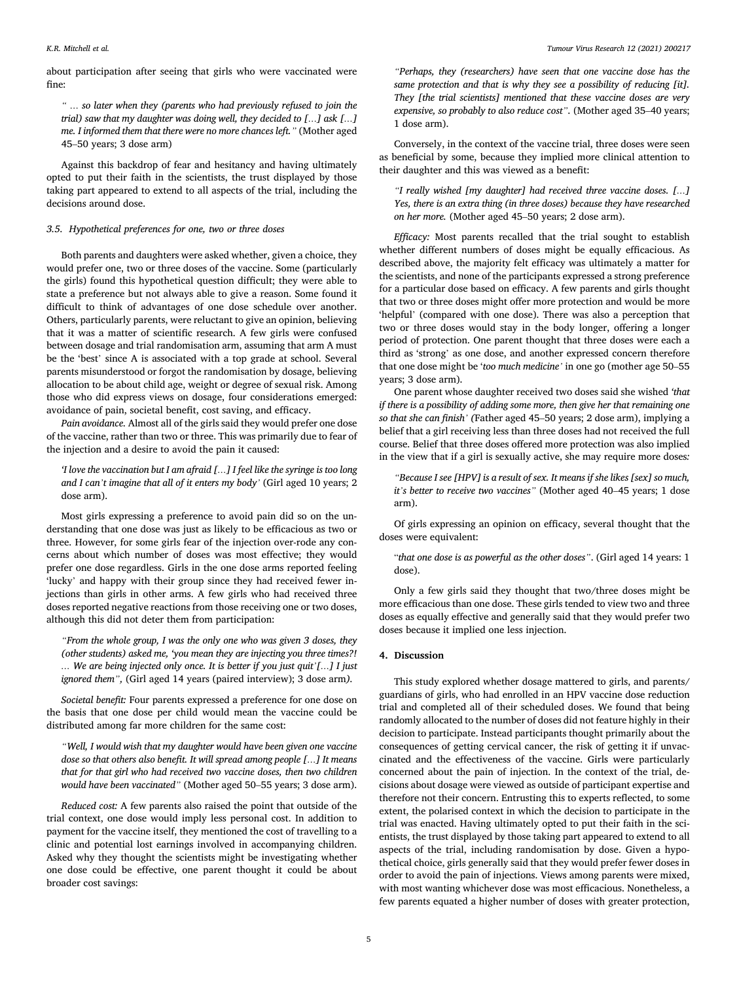about participation after seeing that girls who were vaccinated were fine:

*" … so later when they (parents who had previously refused to join the trial) saw that my daughter was doing well, they decided to […] ask […] me. I informed them that there were no more chances left."* (Mother aged 45–50 years; 3 dose arm)

Against this backdrop of fear and hesitancy and having ultimately opted to put their faith in the scientists, the trust displayed by those taking part appeared to extend to all aspects of the trial, including the decisions around dose.

## *3.5. Hypothetical preferences for one, two or three doses*

Both parents and daughters were asked whether, given a choice, they would prefer one, two or three doses of the vaccine. Some (particularly the girls) found this hypothetical question difficult; they were able to state a preference but not always able to give a reason. Some found it difficult to think of advantages of one dose schedule over another. Others, particularly parents, were reluctant to give an opinion, believing that it was a matter of scientific research. A few girls were confused between dosage and trial randomisation arm, assuming that arm A must be the 'best' since A is associated with a top grade at school. Several parents misunderstood or forgot the randomisation by dosage, believing allocation to be about child age, weight or degree of sexual risk. Among those who did express views on dosage, four considerations emerged: avoidance of pain, societal benefit, cost saving, and efficacy.

*Pain avoidance.* Almost all of the girls said they would prefer one dose of the vaccine, rather than two or three. This was primarily due to fear of the injection and a desire to avoid the pain it caused:

*'I love the vaccination but I am afraid […] I feel like the syringe is too long and I can't imagine that all of it enters my body'* (Girl aged 10 years; 2 dose arm).

Most girls expressing a preference to avoid pain did so on the understanding that one dose was just as likely to be efficacious as two or three. However, for some girls fear of the injection over-rode any concerns about which number of doses was most effective; they would prefer one dose regardless. Girls in the one dose arms reported feeling 'lucky' and happy with their group since they had received fewer injections than girls in other arms. A few girls who had received three doses reported negative reactions from those receiving one or two doses, although this did not deter them from participation:

*"From the whole group, I was the only one who was given 3 doses, they (other students) asked me, 'you mean they are injecting you three times?! … We are being injected only once. It is better if you just quit'[…] I just ignored them",* (Girl aged 14 years (paired interview); 3 dose arm*).* 

*Societal benefit:* Four parents expressed a preference for one dose on the basis that one dose per child would mean the vaccine could be distributed among far more children for the same cost:

*"Well, I would wish that my daughter would have been given one vaccine dose so that others also benefit. It will spread among people […] It means that for that girl who had received two vaccine doses, then two children would have been vaccinated"* (Mother aged 50–55 years; 3 dose arm).

*Reduced cost:* A few parents also raised the point that outside of the trial context, one dose would imply less personal cost. In addition to payment for the vaccine itself, they mentioned the cost of travelling to a clinic and potential lost earnings involved in accompanying children. Asked why they thought the scientists might be investigating whether one dose could be effective, one parent thought it could be about broader cost savings:

*"Perhaps, they (researchers) have seen that one vaccine dose has the same protection and that is why they see a possibility of reducing [it]. They [the trial scientists] mentioned that these vaccine doses are very expensive, so probably to also reduce cost".* (Mother aged 35–40 years; 1 dose arm).

Conversely, in the context of the vaccine trial, three doses were seen as beneficial by some, because they implied more clinical attention to their daughter and this was viewed as a benefit:

*"I really wished [my daughter] had received three vaccine doses. […] Yes, there is an extra thing (in three doses) because they have researched on her more.* (Mother aged 45–50 years; 2 dose arm).

*Efficacy:* Most parents recalled that the trial sought to establish whether different numbers of doses might be equally efficacious. As described above, the majority felt efficacy was ultimately a matter for the scientists, and none of the participants expressed a strong preference for a particular dose based on efficacy. A few parents and girls thought that two or three doses might offer more protection and would be more 'helpful' (compared with one dose). There was also a perception that two or three doses would stay in the body longer, offering a longer period of protection. One parent thought that three doses were each a third as 'strong' as one dose, and another expressed concern therefore that one dose might be '*too much medicine'* in one go (mother age 50–55 years; 3 dose arm).

One parent whose daughter received two doses said she wished *'that if there is a possibility of adding some more, then give her that remaining one so that she can finish' (*Father aged 45–50 years; 2 dose arm), implying a belief that a girl receiving less than three doses had not received the full course. Belief that three doses offered more protection was also implied in the view that if a girl is sexually active, she may require more doses*:* 

*"Because I see [HPV] is a result of sex. It means if she likes [sex] so much, it's better to receive two vaccines"* (Mother aged 40–45 years; 1 dose arm).

Of girls expressing an opinion on efficacy, several thought that the doses were equivalent:

"*that one dose is as powerful as the other doses"*. (Girl aged 14 years: 1 dose).

Only a few girls said they thought that two/three doses might be more efficacious than one dose. These girls tended to view two and three doses as equally effective and generally said that they would prefer two doses because it implied one less injection.

#### **4. Discussion**

This study explored whether dosage mattered to girls, and parents/ guardians of girls, who had enrolled in an HPV vaccine dose reduction trial and completed all of their scheduled doses. We found that being randomly allocated to the number of doses did not feature highly in their decision to participate. Instead participants thought primarily about the consequences of getting cervical cancer, the risk of getting it if unvaccinated and the effectiveness of the vaccine. Girls were particularly concerned about the pain of injection. In the context of the trial, decisions about dosage were viewed as outside of participant expertise and therefore not their concern. Entrusting this to experts reflected, to some extent, the polarised context in which the decision to participate in the trial was enacted. Having ultimately opted to put their faith in the scientists, the trust displayed by those taking part appeared to extend to all aspects of the trial, including randomisation by dose. Given a hypothetical choice, girls generally said that they would prefer fewer doses in order to avoid the pain of injections. Views among parents were mixed, with most wanting whichever dose was most efficacious. Nonetheless, a few parents equated a higher number of doses with greater protection,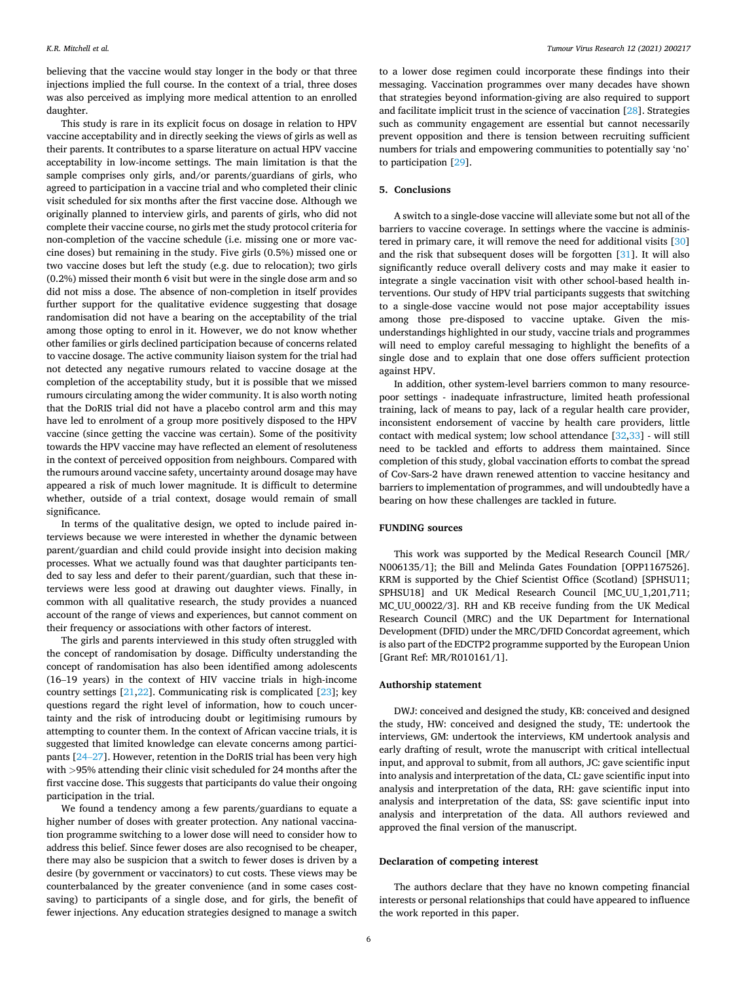believing that the vaccine would stay longer in the body or that three injections implied the full course. In the context of a trial, three doses was also perceived as implying more medical attention to an enrolled daughter.

This study is rare in its explicit focus on dosage in relation to HPV vaccine acceptability and in directly seeking the views of girls as well as their parents. It contributes to a sparse literature on actual HPV vaccine acceptability in low-income settings. The main limitation is that the sample comprises only girls, and/or parents/guardians of girls, who agreed to participation in a vaccine trial and who completed their clinic visit scheduled for six months after the first vaccine dose. Although we originally planned to interview girls, and parents of girls, who did not complete their vaccine course, no girls met the study protocol criteria for non-completion of the vaccine schedule (i.e. missing one or more vaccine doses) but remaining in the study. Five girls (0.5%) missed one or two vaccine doses but left the study (e.g. due to relocation); two girls (0.2%) missed their month 6 visit but were in the single dose arm and so did not miss a dose. The absence of non-completion in itself provides further support for the qualitative evidence suggesting that dosage randomisation did not have a bearing on the acceptability of the trial among those opting to enrol in it. However, we do not know whether other families or girls declined participation because of concerns related to vaccine dosage. The active community liaison system for the trial had not detected any negative rumours related to vaccine dosage at the completion of the acceptability study, but it is possible that we missed rumours circulating among the wider community. It is also worth noting that the DoRIS trial did not have a placebo control arm and this may have led to enrolment of a group more positively disposed to the HPV vaccine (since getting the vaccine was certain). Some of the positivity towards the HPV vaccine may have reflected an element of resoluteness in the context of perceived opposition from neighbours. Compared with the rumours around vaccine safety, uncertainty around dosage may have appeared a risk of much lower magnitude. It is difficult to determine whether, outside of a trial context, dosage would remain of small significance.

In terms of the qualitative design, we opted to include paired interviews because we were interested in whether the dynamic between parent/guardian and child could provide insight into decision making processes. What we actually found was that daughter participants tended to say less and defer to their parent/guardian, such that these interviews were less good at drawing out daughter views. Finally, in common with all qualitative research, the study provides a nuanced account of the range of views and experiences, but cannot comment on their frequency or associations with other factors of interest.

The girls and parents interviewed in this study often struggled with the concept of randomisation by dosage. Difficulty understanding the concept of randomisation has also been identified among adolescents (16–19 years) in the context of HIV vaccine trials in high-income country settings [[21,22](#page-6-0)]. Communicating risk is complicated [\[23](#page-6-0)]; key questions regard the right level of information, how to couch uncertainty and the risk of introducing doubt or legitimising rumours by attempting to counter them. In the context of African vaccine trials, it is suggested that limited knowledge can elevate concerns among participants [24–[27\]](#page-6-0). However, retention in the DoRIS trial has been very high with *>*95% attending their clinic visit scheduled for 24 months after the first vaccine dose. This suggests that participants do value their ongoing participation in the trial.

We found a tendency among a few parents/guardians to equate a higher number of doses with greater protection. Any national vaccination programme switching to a lower dose will need to consider how to address this belief. Since fewer doses are also recognised to be cheaper, there may also be suspicion that a switch to fewer doses is driven by a desire (by government or vaccinators) to cut costs. These views may be counterbalanced by the greater convenience (and in some cases costsaving) to participants of a single dose, and for girls, the benefit of fewer injections. Any education strategies designed to manage a switch

to a lower dose regimen could incorporate these findings into their messaging. Vaccination programmes over many decades have shown that strategies beyond information-giving are also required to support and facilitate implicit trust in the science of vaccination [[28\]](#page-6-0). Strategies such as community engagement are essential but cannot necessarily prevent opposition and there is tension between recruiting sufficient numbers for trials and empowering communities to potentially say 'no' to participation [\[29](#page-6-0)].

## **5. Conclusions**

A switch to a single-dose vaccine will alleviate some but not all of the barriers to vaccine coverage. In settings where the vaccine is administered in primary care, it will remove the need for additional visits [\[30](#page-6-0)] and the risk that subsequent doses will be forgotten [\[31](#page-6-0)]. It will also significantly reduce overall delivery costs and may make it easier to integrate a single vaccination visit with other school-based health interventions. Our study of HPV trial participants suggests that switching to a single-dose vaccine would not pose major acceptability issues among those pre-disposed to vaccine uptake. Given the misunderstandings highlighted in our study, vaccine trials and programmes will need to employ careful messaging to highlight the benefits of a single dose and to explain that one dose offers sufficient protection against HPV.

In addition, other system-level barriers common to many resourcepoor settings - inadequate infrastructure, limited heath professional training, lack of means to pay, lack of a regular health care provider, inconsistent endorsement of vaccine by health care providers, little contact with medical system; low school attendance [\[32](#page-6-0),[33\]](#page-6-0) - will still need to be tackled and efforts to address them maintained. Since completion of this study, global vaccination efforts to combat the spread of Cov-Sars-2 have drawn renewed attention to vaccine hesitancy and barriers to implementation of programmes, and will undoubtedly have a bearing on how these challenges are tackled in future.

## **FUNDING sources**

This work was supported by the Medical Research Council [MR/ N006135/1]; the Bill and Melinda Gates Foundation [OPP1167526]. KRM is supported by the Chief Scientist Office (Scotland) [SPHSU11; SPHSU18] and UK Medical Research Council [MC\_UU\_1,201,711; MC\_UU\_00022/3]. RH and KB receive funding from the UK Medical Research Council (MRC) and the UK Department for International Development (DFID) under the MRC/DFID Concordat agreement, which is also part of the EDCTP2 programme supported by the European Union [Grant Ref: MR/R010161/1].

#### **Authorship statement**

DWJ: conceived and designed the study, KB: conceived and designed the study, HW: conceived and designed the study, TE: undertook the interviews, GM: undertook the interviews, KM undertook analysis and early drafting of result, wrote the manuscript with critical intellectual input, and approval to submit, from all authors, JC: gave scientific input into analysis and interpretation of the data, CL: gave scientific input into analysis and interpretation of the data, RH: gave scientific input into analysis and interpretation of the data, SS: gave scientific input into analysis and interpretation of the data. All authors reviewed and approved the final version of the manuscript.

## **Declaration of competing interest**

The authors declare that they have no known competing financial interests or personal relationships that could have appeared to influence the work reported in this paper.